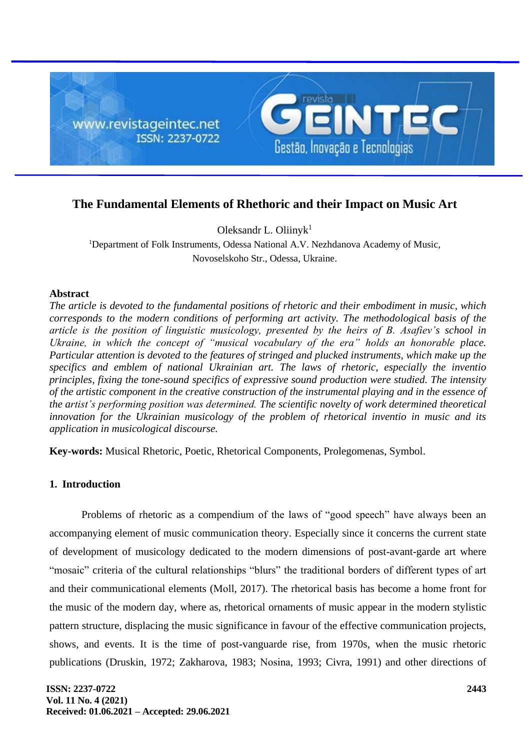

# **The Fundamental Elements of Rhethoric and their Impact on Music Art**

Oleksandr L. Oliiny $k<sup>1</sup>$ 

<sup>1</sup>Department of Folk Instruments, Odessa National A.V. Nezhdanova Academy of Music, Novoselskoho Str., Odessa, Ukraine.

#### **Abstract**

*The article is devoted to the fundamental positions of rhetoric and their embodiment in music, which corresponds to the modern conditions of performing art activity. The methodological basis of the article is the position of linguistic musicology, presented by the heirs of B. Asafiev's school in Ukraine, in which the concept of "musical vocabulary of the era" holds an honorable place. Particular attention is devoted to the features of stringed and plucked instruments, which make up the specifics and emblem of national Ukrainian art. The laws of rhetoric, especially the inventio principles, fixing the tone-sound specifics of expressive sound production were studied. The intensity of the artistic component in the creative construction of the instrumental playing and in the essence of the artist's performing position was determined. The scientific novelty of work determined theoretical innovation for the Ukrainian musicology of the problem of rhetorical inventio in music and its application in musicological discourse.*

**Key-words:** Musical Rhetoric, Poetic, Rhetorical Components, Prolegomenas, Symbol.

## **1. Introduction**

Problems of rhetoric as a compendium of the laws of "good speech" have always been an accompanying element of music communication theory. Especially since it concerns the current state of development of musicology dedicated to the modern dimensions of post-avant-garde art where "mosaic" criteria of the cultural relationships "blurs" the traditional borders of different types of art and their communicational elements (Моll, 2017). The rhetorical basis has become a home front for the music of the modern day, where as, rhetorical ornaments of music appear in the modern stylistic pattern structure, displacing the music significance in favour of the effective communication projects, shows, and events. It is the time of post-vanguarde rise, from 1970s, when the music rhetoric publications (Druskin, 1972; Zakharova, 1983; Nоsinа, 1993; Civra, 1991) and other directions of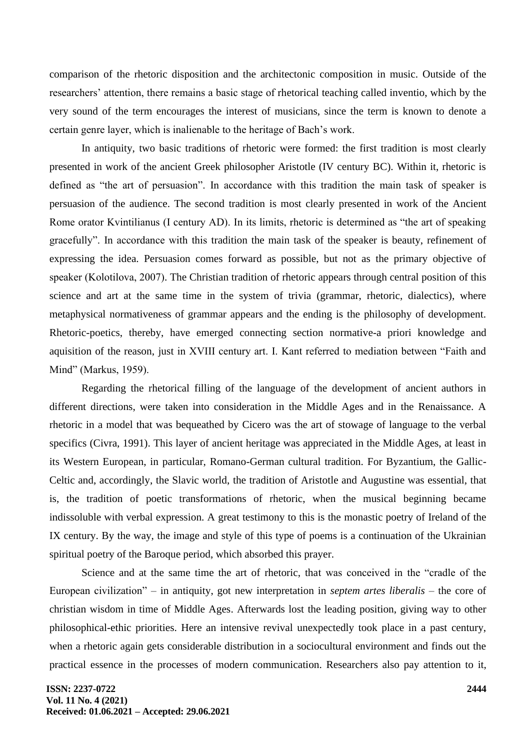comparison of the rhetoric disposition and the architectonic composition in music. Outside of the researchers' attention, there remains a basic stage of rhetorical teaching called inventio, which by the very sound of the term encourages the interest of musicians, since the term is known to denote a certain genre layer, which is inalienable to the heritage of Bach's work.

In antiquity, two basic traditions of rhetoric were formed: the first tradition is most clearly presented in work of the ancient Greek philosopher Aristotle (IV century BC). Within it, rhetoric is defined as "the art of persuasion". In accordance with this tradition the main task of speaker is persuasion of the audience. The second tradition is most clearly presented in work of the Ancient Rome orator Kvintilianus (I century AD). In its limits, rhetoric is determined as "the art of speaking gracefully". In accordance with this tradition the main task of the speaker is beauty, refinement of expressing the idea. Persuasion comes forward as possible, but not as the primary objective of speaker (Kolotilova, 2007). The Christian tradition of rhetoric appears through central position of this science and art at the same time in the system of trivia (grammar, rhetoric, dialectics), where metaphysical normativeness of grammar appears and the ending is the philosophy of development. Rhetoric-poetics, thereby, have emerged connecting section normative-a priori knowledge and aquisition of the reason, just in XVIII century art. I. Kant referred to mediation between "Faith and Mind" (Маrkus, 1959).

Regarding the rhetorical filling of the language of the development of ancient authors in different directions, were taken into consideration in the Middle Ages and in the Renaissance. A rhetoric in a model that was bequeathed by Cicero was the art of stowage of language to the verbal specifics (Civra, 1991). This layer of ancient heritage was appreciated in the Middle Ages, at least in its Western European, in particular, Romano-German cultural tradition. For Byzantium, the Gallic-Celtic and, accordingly, the Slavic world, the tradition of Aristotle and Augustine was essential, that is, the tradition of poetic transformations of rhetoric, when the musical beginning became indissoluble with verbal expression. A great testimony to this is the monastic poetry of Ireland of the IX century. By the way, the image and style of this type of poems is a continuation of the Ukrainian spiritual poetry of the Baroque period, which absorbed this prayer.

Science and at the same time the art of rhetoric, that was conceived in the "cradle of the European civilization" – in antiquity, got new interpretation in *septem artes liberalis* – the core of christian wisdom in time of Middle Ages. Afterwards lost the leading position, giving way to other philosophical-ethic priorities. Here an intensive revival unexpectedly took place in a past century, when a rhetoric again gets considerable distribution in a sociocultural environment and finds out the practical essence in the processes of modern communication. Researchers also pay attention to it,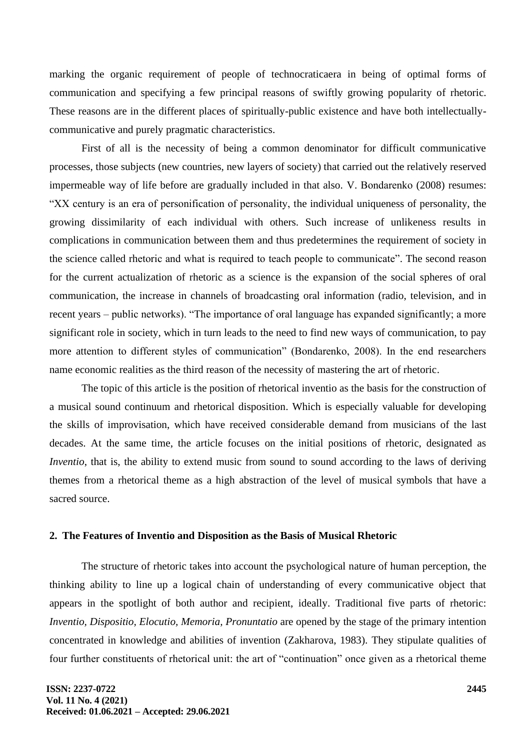marking the organic requirement of people of technocraticaera in being of optimal forms of communication and specifying a few principal reasons of swiftly growing popularity of rhetoric. These reasons are in the different places of spiritually-public existence and have both intellectuallycommunicative and purely pragmatic characteristics.

First of all is the necessity of being a common denominator for difficult communicative processes, those subjects (new countries, new layers of society) that carried out the relatively reserved impermeable way of life before are gradually included in that also. V. Bondarenkо (2008) resumes: "XX century is an era of personification of personality, the individual uniqueness of personality, the growing dissimilarity of each individual with others. Such increase of unlikeness results in complications in communication between them and thus predetermines the requirement of society in the science called rhetoric and what is required to teach people to communicate". The second reason for the current actualization of rhetoric as a science is the expansion of the social spheres of oral communication, the increase in channels of broadcasting oral information (radio, television, and in recent years – public networks). "The importance of oral language has expanded significantly; a more significant role in society, which in turn leads to the need to find new ways of communication, to pay more attention to different styles of communication" (Bondarenkо, 2008). In the end researchers name economic realities as the third reason of the necessity of mastering the art of rhetoric.

The topic of this article is the position of rhetorical inventio as the basis for the construction of a musical sound continuum and rhetorical disposition. Which is especially valuable for developing the skills of improvisation, which have received considerable demand from musicians of the last decades. At the same time, the article focuses on the initial positions of rhetoric, designated as *Inventio*, that is, the ability to extend music from sound to sound according to the laws of deriving themes from a rhetorical theme as a high abstraction of the level of musical symbols that have a sacred source.

#### **2. The Features of Inventio and Disposition as the Basis of Musical Rhetoric**

The structure of rhetoric takes into account the psychological nature of human perception, the thinking ability to line up a logical chain of understanding of every communicative object that appears in the spotlight of both author and recipient, ideally. Traditional five parts of rhetoric: *Inventio, Dispositio, Elocutio, Memoria, Pronuntatio* are opened by the stage of the primary intention concentrated in knowledge and abilities of invention (Zakharova, 1983). They stipulate qualities of four further constituents of rhetorical unit: the art of "continuation" once given as a rhetorical theme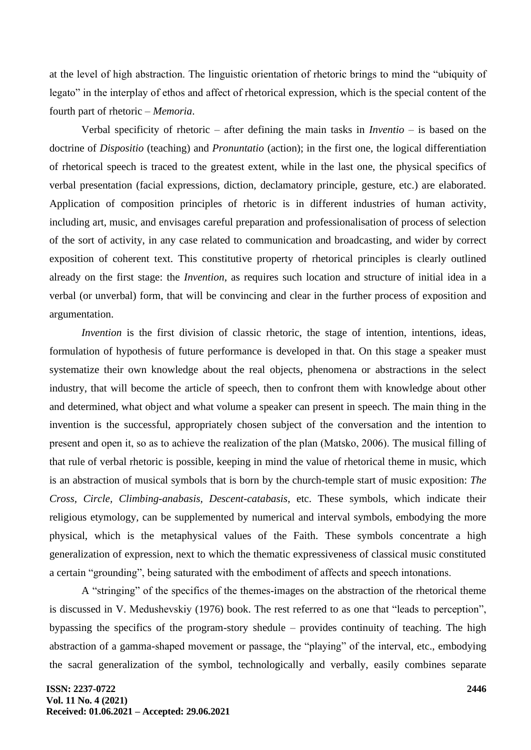at the level of high abstraction. The linguistic orientation of rhetoric brings to mind the "ubiquity of legato" in the interplay of ethos and affect of rhetorical expression, which is the special content of the fourth part of rhetoric – *Memoria*.

Verbal specificity of rhetoric – after defining the main tasks in *Inventio* – is based on the doctrine of *Dispositio* (teaching) and *Pronuntatio* (action); in the first one, the logical differentiation of rhetorical speech is traced to the greatest extent, while in the last one, the physical specifics of verbal presentation (facial expressions, diction, declamatory principle, gesture, etc.) are elaborated. Application of composition principles of rhetoric is in different industries of human activity, including art, music, and envisages careful preparation and professionalisation of process of selection of the sort of activity, in any case related to communication and broadcasting, and wider by correct exposition of coherent text. This constitutive property of rhetorical principles is clearly outlined already on the first stage: the *Invention*, as requires such location and structure of initial idea in a verbal (or unverbal) form, that will be convincing and clear in the further process of exposition and argumentation.

*Invention* is the first division of classic rhetoric, the stage of intention, intentions, ideas, formulation of hypothesis of future performance is developed in that. On this stage a speaker must systematize their own knowledge about the real objects, phenomena or abstractions in the select industry, that will become the article of speech, then to confront them with knowledge about other and determined, what object and what volume a speaker can present in speech. The main thing in the invention is the successful, appropriately chosen subject of the conversation and the intention to present and open it, so as to achieve the realization of the plan (Маtskо, 2006). The musical filling of that rule of verbal rhetoric is possible, keeping in mind the value of rhetorical theme in music, which is an abstraction of musical symbols that is born by the church-temple start of music exposition: *The Cross, Circle, Climbing-anabasis, Descent-catabasis*, etc. These symbols, which indicate their religious etymology, can be supplemented by numerical and interval symbols, embodying the more physical, which is the metaphysical values of the Faith. These symbols concentrate a high generalization of expression, next to which the thematic expressiveness of classical music constituted a certain "grounding", being saturated with the embodiment of affects and speech intonations.

A "stringing" of the specifics of the themes-images on the abstraction of the rhetorical theme is discussed in V. Меdushеvskiy (1976) book. The rest referred to as one that "leads to perception", bypassing the specifics of the program-story shedule – provides continuity of teaching. The high abstraction of a gamma-shaped movement or passage, the "playing" of the interval, etc., embodying the sacral generalization of the symbol, technologically and verbally, easily combines separate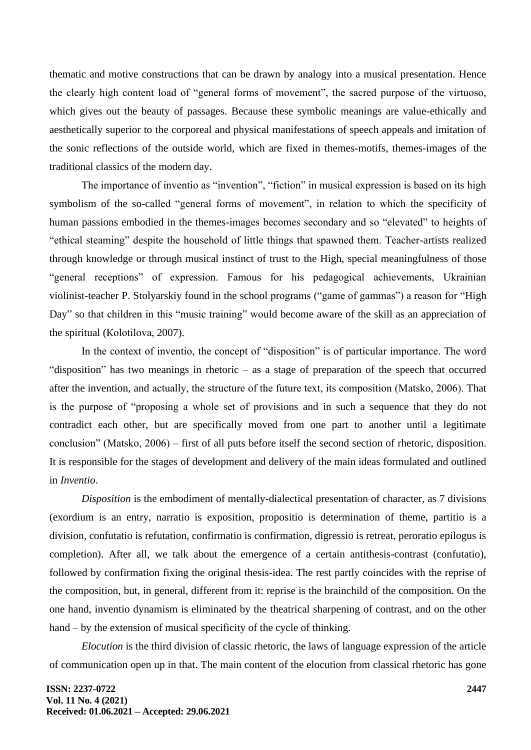thematic and motive constructions that can be drawn by analogy into a musical presentation. Hence the clearly high content load of "general forms of movement", the sacred purpose of the virtuoso, which gives out the beauty of passages. Because these symbolic meanings are value-ethically and aesthetically superior to the corporeal and physical manifestations of speech appeals and imitation of the sonic reflections of the outside world, which are fixed in themes-motifs, themes-images of the traditional classics of the modern day.

The importance of inventio as "invention", "fiction" in musical expression is based on its high symbolism of the so-called "general forms of movement", in relation to which the specificity of human passions embodied in the themes-images becomes secondary and so "elevated" to heights of "ethical steaming" despite the household of little things that spawned them. Teacher-artists realized through knowledge or through musical instinct of trust to the High, special meaningfulness of those "general receptions" of expression. Famous for his pedagogical achievements, Ukrainian violinist-teacher P. Stolyarskiy found in the school programs ("game of gammas") a reason for "High Day" so that children in this "music training" would become aware of the skill as an appreciation of the spiritual (Коlоtіlоvа, 2007).

In the context of inventio, the concept of "disposition" is of particular importance. The word "disposition" has two meanings in rhetoric – as a stage of preparation of the speech that occurred after the invention, and actually, the structure of the future text, its composition (Маtskо, 2006). That is the purpose of "proposing a whole set of provisions and in such a sequence that they do not contradict each other, but are specifically moved from one part to another until a legitimate conclusion" (Маtskо, 2006) – first of all puts before itself the second section of rhetoric, disposition. It is responsible for the stages of development and delivery of the main ideas formulated and outlined in *Inventio*.

*Disposition* is the embodiment of mentally-dialectical presentation of character, as 7 divisions (exordium is an entry, narratio is exposition, propositio is determination of theme, partitio is a division, confutatio is refutation, confirmatio is confirmation, digressio is retreat, peroratio epilogus is completion). After all, we talk about the emergence of a certain antithesis-contrast (confutatio), followed by confirmation fixing the original thesis-idea. The rest partly coincides with the reprise of the composition, but, in general, different from it: reprise is the brainchild of the composition. On the one hand, inventio dynamism is eliminated by the theatrical sharpening of contrast, and on the other hand – by the extension of musical specificity of the cycle of thinking.

*Elocution* is the third division of classic rhetoric, the laws of language expression of the article of communication open up in that. The main content of the elocution from classical rhetoric has gone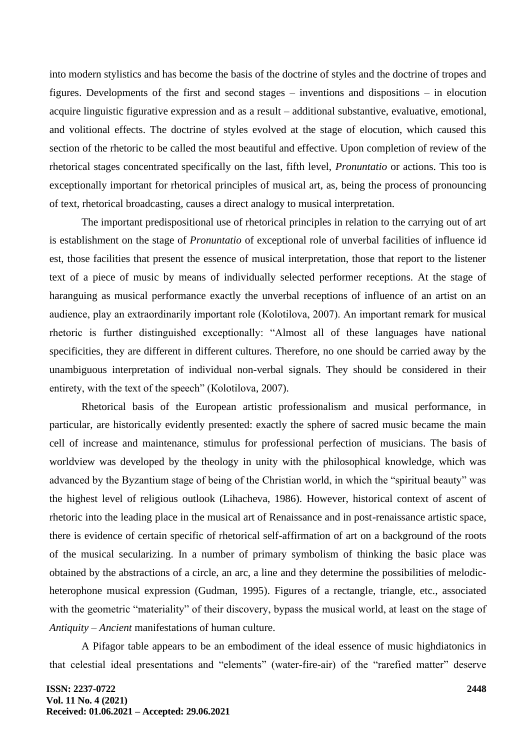into modern stylistics and has become the basis of the doctrine of styles and the doctrine of tropes and figures. Developments of the first and second stages – inventions and dispositions – in elocution acquire linguistic figurative expression and as a result – additional substantive, evaluative, emotional, and volitional effects. The doctrine of styles evolved at the stage of elocution, which caused this section of the rhetoric to be called the most beautiful and effective. Upon completion of review of the rhetorical stages concentrated specifically on the last, fifth level, *Pronuntatio* or actions. This too is exceptionally important for rhetorical principles of musical art, as, being the process of pronouncing of text, rhetorical broadcasting, causes a direct analogy to musical interpretation.

The important predispositional use of rhetorical principles in relation to the carrying out of art is establishment on the stage of *Pronuntatio* of exceptional role of unverbal facilities of influence id est, those facilities that present the essence of musical interpretation, those that report to the listener text of a piece of music by means of individually selected performer receptions. At the stage of haranguing as musical performance exactly the unverbal receptions of influence of an artist on an audience, play an extraordinarily important role (Коlоtіlоvа, 2007). An important remark for musical rhetoric is further distinguished exceptionally: "Almost all of these languages have national specificities, they are different in different cultures. Therefore, no one should be carried away by the unambiguous interpretation of individual non-verbal signals. They should be considered in their entirety, with the text of the speech" (Коlоtіlоvа, 2007).

Rhetorical basis of the European artistic professionalism and musical performance, in particular, are historically evidently presented: exactly the sphere of sacred music became the main cell of increase and maintenance, stimulus for professional perfection of musicians. The basis of worldview was developed by the theology in unity with the philosophical knowledge, which was advanced by the Byzantium stage of being of the Christian world, in which the "spiritual beauty" was the highest level of religious outlook (Lihacheva, 1986). However, historical context of ascent of rhetoric into the leading place in the musical art of Renaissance and in post-renaissance artistic space, there is evidence of certain specific of rhetorical self-affirmation of art on a background of the roots of the musical secularizing. In a number of primary symbolism of thinking the basic place was obtained by the abstractions of a circle, an arc, a line and they determine the possibilities of melodicheterophone musical expression (Gudman, 1995). Figures of a rectangle, triangle, etc., associated with the geometric "materiality" of their discovery, bypass the musical world, at least on the stage of *Antiquity – Ancient* manifestations of human culture.

A Pifagor table appears to be an embodiment of the ideal essence of music highdiatonics in that celestial ideal presentations and "elements" (water-fire-air) of the "rarefied matter" deserve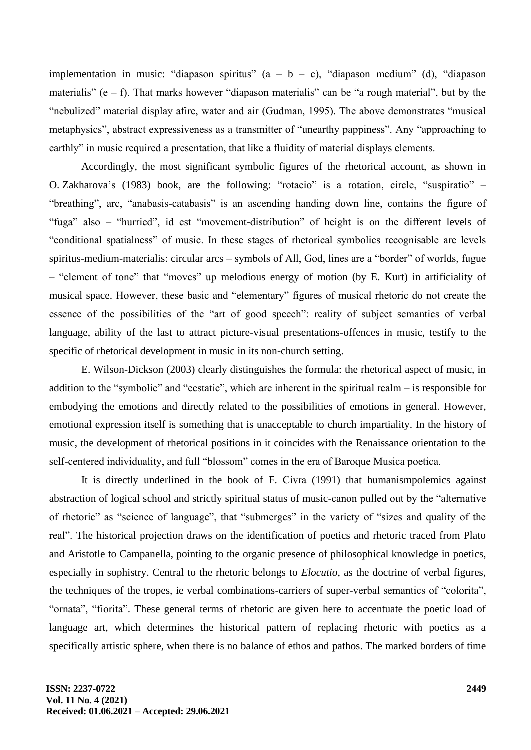implementation in music: "diapason spiritus"  $(a - b - c)$ , "diapason medium" (d), "diapason materialis" (e – f). That marks however "diapason materialis" can be "a rough material", but by the "nebulized" material display afire, water and air (Gudman, 1995). The above demonstrates "musical metaphysics", abstract expressiveness as a transmitter of "unearthy pappiness". Any "approaching to earthly" in music required a presentation, that like a fluidity of material displays elements.

Accordingly, the most significant symbolic figures of the rhetorical account, as shown in O. Zakharova's (1983) book, are the following: "rotacio" is a rotation, circle, "suspіratio" – "breathing", arc, "anabasis-catabasis" is an ascending handing down line, contains the figure of "fuga" also – "hurried", id est "movement-distribution" of height is on the different levels of "conditional spatialness" of music. In these stages of rhetorical symbolics recognisable are levels spiritus-medium-materialis: circular arcs – symbols of All, God, lines are a "border" of worlds, fugue – "element of tone" that "moves" up melodious energy of motion (by E. Kurt) in artificiality of musical space. However, these basic and "elementary" figures of musical rhetoric do not create the essence of the possibilities of the "art of good speech": reality of subject semantics of verbal language, ability of the last to attract picture-visual presentations-offences in music, testify to the specific of rhetorical development in music in its non-church setting.

E. Wilson-Dickson (2003) clearly distinguishes the formula: the rhetorical aspect of music, in addition to the "symbolic" and "ecstatic", which are inherent in the spiritual realm – is responsible for embodying the emotions and directly related to the possibilities of emotions in general. However, emotional expression itself is something that is unacceptable to church impartiality. In the history of music, the development of rhetorical positions in it coincides with the Renaissance orientation to the self-centered individuality, and full "blossom" comes in the era of Baroque Musica poetica.

It is directly underlined in the book of F. Civrа (1991) that humanismpolemics against abstraction of logical school and strictly spiritual status of music-canon pulled out by the "alternative of rhetoric" as "science of language", that "submerges" in the variety of "sizes and quality of the real". The historical projection draws on the identification of poetics and rhetoric traced from Plato and Aristotle to Campanella, pointing to the organic presence of philosophical knowledge in poetics, especially in sophistry. Central to the rhetoric belongs to *Elocutio*, as the doctrine of verbal figures, the techniques of the tropes, ie verbal combinations-carriers of super-verbal semantics of "colorita", "ornata", "fiorita". These general terms of rhetoric are given here to accentuate the poetic load of language art, which determines the historical pattern of replacing rhetoric with poetics as a specifically artistic sphere, when there is no balance of ethos and pathos. The marked borders of time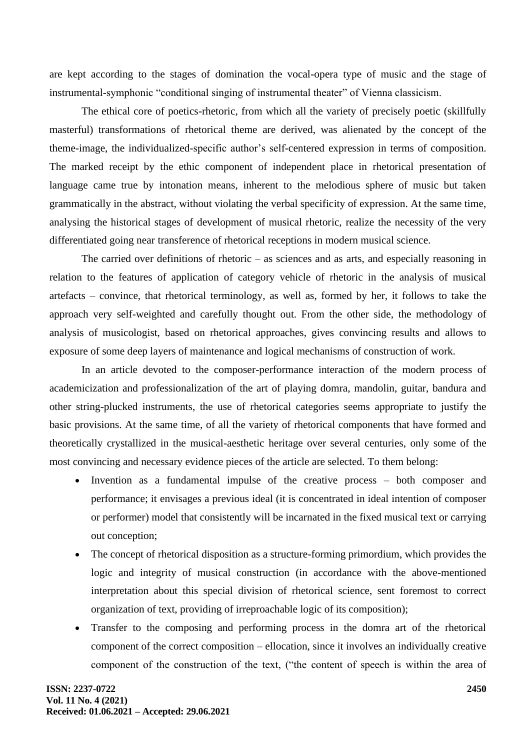are kept according to the stages of domination the vocal-opera type of music and the stage of instrumental-symphonic "conditional singing of instrumental theater" of Vienna classicism.

The ethical core of poetics-rhetoric, from which all the variety of precisely poetic (skillfully masterful) transformations of rhetorical theme are derived, was alienated by the concept of the theme-image, the individualized-specific author's self-centered expression in terms of composition. The marked receipt by the ethic component of independent place in rhetorical presentation of language came true by intonation means, inherent to the melodious sphere of music but taken grammatically in the abstract, without violating the verbal specificity of expression. At the same time, analysing the historical stages of development of musical rhetoric, realize the necessity of the very differentiated going near transference of rhetorical receptions in modern musical science.

The carried over definitions of rhetoric – as sciences and as arts, and especially reasoning in relation to the features of application of category vehicle of rhetoric in the analysis of musical artefacts – convince, that rhetorical terminology, as well as, formed by her, it follows to take the approach very self-weighted and carefully thought out. From the other side, the methodology of analysis of musicologist, based on rhetorical approaches, gives convincing results and allows to exposure of some deep layers of maintenance and logical mechanisms of construction of work.

In an article devoted to the composer-performance interaction of the modern process of academicization and professionalization of the art of playing domra, mandolin, guitar, bandura and other string-plucked instruments, the use of rhetorical categories seems appropriate to justify the basic provisions. At the same time, of all the variety of rhetorical components that have formed and theoretically crystallized in the musical-aesthetic heritage over several centuries, only some of the most convincing and necessary evidence pieces of the article are selected. To them belong:

- Invention as a fundamental impulse of the creative process both composer and performance; it envisages a previous ideal (it is concentrated in ideal intention of composer or performer) model that consistently will be incarnated in the fixed musical text or carrying out conception;
- The concept of rhetorical disposition as a structure-forming primordium, which provides the logic and integrity of musical construction (in accordance with the above-mentioned interpretation about this special division of rhetorical science, sent foremost to correct organization of text, providing of irreproachable logic of its composition);
- Transfer to the composing and performing process in the domra art of the rhetorical component of the correct composition – ellocation, since it involves an individually creative component of the construction of the text, ("the content of speech is within the area of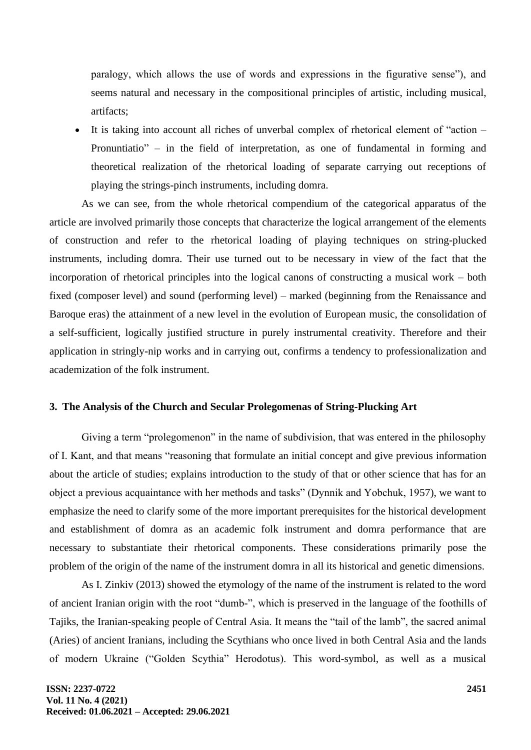paralogy, which allows the use of words and expressions in the figurative sense"), and seems natural and necessary in the compositional principles of artistic, including musical, artifacts;

It is taking into account all riches of unverbal complex of rhetorical element of "action – Pronuntiatio" – in the field of interpretation, as one of fundamental in forming and theoretical realization of the rhetorical loading of separate carrying out receptions of playing the strings-pinch instruments, including domra.

As we can see, from the whole rhetorical compendium of the categorical apparatus of the article are involved primarily those concepts that characterize the logical arrangement of the elements of construction and refer to the rhetorical loading of playing techniques on string-plucked instruments, including domra. Their use turned out to be necessary in view of the fact that the incorporation of rhetorical principles into the logical canons of constructing a musical work – both fixed (composer level) and sound (performing level) – marked (beginning from the Renaissance and Baroque eras) the attainment of a new level in the evolution of European music, the consolidation of a self-sufficient, logically justified structure in purely instrumental creativity. Therefore and their application in stringly-nip works and in carrying out, confirms a tendency to professionalization and academization of the folk instrument.

# **3. The Analysis of the Church and Secular Prolegomenas of String-Plucking Art**

Giving a term "prolegomenon" in the name of subdivision, that was entered in the philosophy of І. Kant, and that means "reasoning that formulate an initial concept and give previous information about the article of studies; explains introduction to the study of that or other science that has for an object a previous acquaintance with her methods and tasks" (Dynnik and Yobchuk, 1957), we want to emphasize the need to clarify some of the more important prerequisites for the historical development and establishment of domra as an academic folk instrument and domra performance that are necessary to substantiate their rhetorical components. These considerations primarily pose the problem of the origin of the name of the instrument domra in all its historical and genetic dimensions.

As I. Zinkiv (2013) showed the etymology of the name of the instrument is related to the word of ancient Iranian origin with the root "dumb-", which is preserved in the language of the foothills of Tajiks, the Iranian-speaking people of Central Asia. It means the "tail of the lamb", the sacred animal (Aries) of ancient Iranians, including the Scythians who once lived in both Central Asia and the lands of modern Ukraine ("Golden Scythia" Herodotus). This word-symbol, as well as a musical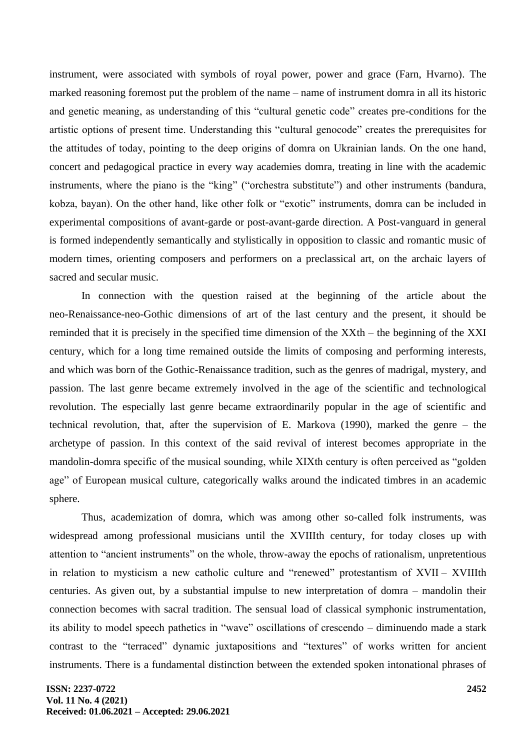instrument, were associated with symbols of royal power, power and grace (Farn, Hvarno). The marked reasoning foremost put the problem of the name – name of instrument domra in all its historic and genetic meaning, as understanding of this "cultural genetic code" creates pre-conditions for the artistic options of present time. Understanding this "cultural genocode" creates the prerequisites for the attitudes of today, pointing to the deep origins of domrа on Ukrainian lands. On the one hand, concert and pedagogical practice in every way academies domra, treating in line with the academic instruments, where the piano is the "king" ("orchestra substitute") and other instruments (bandura, kobza, bayan). On the other hand, like other folk or "exotic" instruments, domrа can be included in experimental compositions of avant-garde or post-avant-garde direction. A Post-vanguard in general is formed independently semantically and stylistically in opposition to classic and romantic music of modern times, orienting composers and performers on a preclassical art, on the archaic layers of sacred and secular music.

In connection with the question raised at the beginning of the article about the neo-Renaissance-neo-Gothic dimensions of art of the last century and the present, it should be reminded that it is precisely in the specified time dimension of the XXth – the beginning of the XXI century, which for a long time remained outside the limits of composing and performing interests, and which was born of the Gothic-Renaissance tradition, such as the genres of madrigal, mystery, and passion. The last genre became extremely involved in the age of the scientific and technological revolution. The especially last genre became extraordinarily popular in the age of scientific and technical revolution, that, after the supervision of E. Маrkоvа (1990), marked the genre – the archetype of passion. In this context of the said revival of interest becomes appropriate in the mandolin-domra specific of the musical sounding, while ХІХth century is often perceived as "golden age" of European musical culture, categorically walks around the indicated timbres in an academic sphere.

Thus, academization of domra, which was among other so-called folk instruments, was widespread among professional musicians until the XVIIIth century, for today closes up with attention to "ancient instruments" on the whole, throw-away the epochs of rationalism, unpretentious in relation to mysticism a new catholic culture and "renewed" protestantism of XVII – XVIIIth centuries. As given out, by a substantial impulse to new interpretation of domra – mandolin their connection becomes with sacral tradition. The sensual load of classical symphonic instrumentation, its ability to model speech pathetics in "wave" oscillations of сrescendo – diminuendo made a stark contrast to the "terraced" dynamic juxtapositions and "textures" of works written for ancient instruments. There is a fundamental distinction between the extended spoken intonational phrases of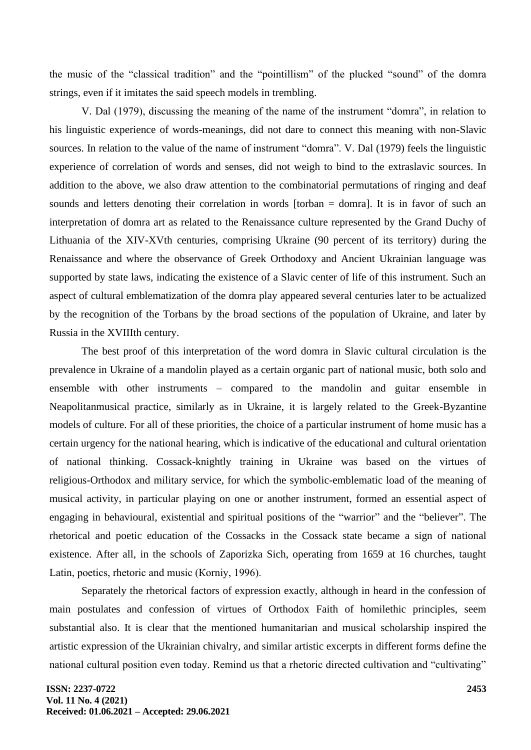the music of the "classical tradition" and the "pointillism" of the plucked "sound" of the domra strings, even if it imitates the said speech models in trembling.

V. Dаl (1979), discussing the meaning of the name of the instrument "domra", in relation to his linguistic experience of words-meanings, did not dare to connect this meaning with non-Slavic sources. In relation to the value of the name of instrument "domra". V. Dаl (1979) feels the linguistic experience of correlation of words and senses, did not weigh to bind to the extraslavic sources. In addition to the above, we also draw attention to the combinatorial permutations of ringing and deaf sounds and letters denoting their correlation in words [torban = domra]. It is in favor of such an interpretation of domra art as related to the Renaissance culture represented by the Grand Duchy of Lithuania of the XIV-XVth centuries, comprising Ukraine (90 percent of its territory) during the Renaissance and where the observance of Greek Orthodoxy and Ancient Ukrainian language was supported by state laws, indicating the existence of a Slavic center of life of this instrument. Such an aspect of cultural emblematization of the domra play appeared several centuries later to be actualized by the recognition of the Torbans by the broad sections of the population of Ukraine, and later by Russia in the XVIIIth century.

The best proof of this interpretation of the word domra in Slavic cultural circulation is the prevalence in Ukraine of a mandolin played as a certain organic part of national music, both solo and ensemble with other instruments – compared to the mandolin and guitar ensemble in Neapolitanmusical practice, similarly as in Ukraine, it is largely related to the Greek-Byzantine models of culture. For all of these priorities, the choice of a particular instrument of home music has a certain urgency for the national hearing, which is indicative of the educational and cultural orientation of national thinking. Cossack-knightly training in Ukraine was based on the virtues of religious-Orthodox and military service, for which the symbolic-emblematic load of the meaning of musical activity, in particular playing on one or another instrument, formed an essential aspect of engaging in behavioural, existential and spiritual positions of the "warrior" and the "believer". The rhetorical and poetic education of the Cossacks in the Cossack state became a sign of national existence. After all, in the schools of Zaporizka Sich, operating from 1659 at 16 churches, taught Latin, poetics, rhetoric and music (Коrnіy, 1996).

Separately the rhetorical factors of expression exactly, although in heard in the confession of main postulates and confession of virtues of Orthodox Faith of homilethic principles, seem substantial also. It is clear that the mentioned humanitarian and musical scholarship inspired the artistic expression of the Ukrainian chivalry, and similar artistic excerpts in different forms define the national cultural position even today. Remind us that a rhetoric directed cultivation and "cultivating"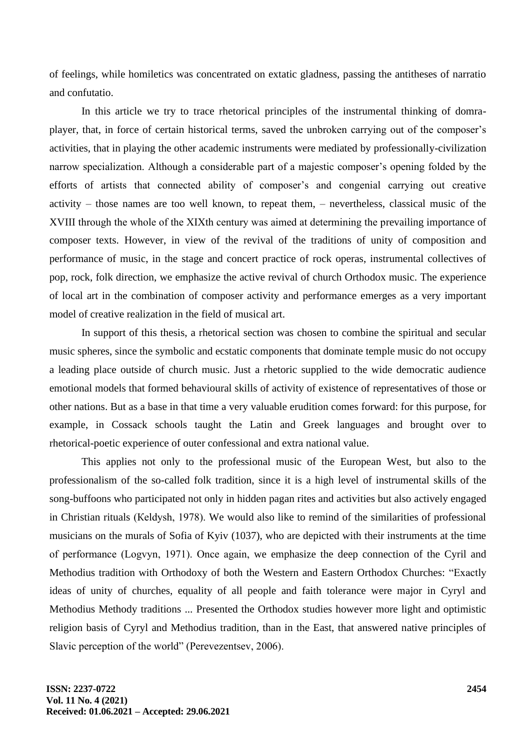of feelings, while homiletics was concentrated on extatic gladness, passing the antitheses of narratio and confutatio.

In this article we try to trace rhetorical principles of the instrumental thinking of domraplayer, that, in force of certain historical terms, saved the unbroken carrying out of the composer's activities, that in playing the other academic instruments were mediated by professionally-civilization narrow specialization. Although a considerable part of a majestic composer's opening folded by the efforts of artists that connected ability of composer's and congenial carrying out creative activity – those names are too well known, to repeat them, – nevertheless, classical music of the XVIII through the whole of the ХІХth century was aimed at determining the prevailing importance of composer texts. However, in view of the revival of the traditions of unity of composition and performance of music, in the stage and concert practice of rock operas, instrumental collectives of pop, rock, folk direction, we emphasize the active revival of church Orthodox music. The experience of local art in the combination of composer activity and performance emerges as a very important model of creative realization in the field of musical art.

In support of this thesis, a rhetorical section was chosen to combine the spiritual and secular music spheres, since the symbolic and ecstatic components that dominate temple music do not occupy a leading place outside of church music. Just a rhetoric supplied to the wide democratic audience emotional models that formed behavioural skills of activity of existence of representatives of those or other nations. But as a base in that time a very valuable erudition comes forward: for this purpose, for example, in Cossack schools taught the Latin and Greek languages and brought over to rhetorical-poetic experience of outer confessional and extra national value.

This applies not only to the professional music of the European West, but also to the professionalism of the so-called folk tradition, since it is a high level of instrumental skills of the song-buffoons who participated not only in hidden pagan rites and activities but also actively engaged in Christian rituals (Кеldysh, 1978). We would also like to remind of the similarities of professional musicians on the murals of Sofia of Kyiv (1037), who are depicted with their instruments at the time of performance (Lоgvyn, 1971). Once again, we emphasize the deep connection of the Cyril and Methodius tradition with Orthodoxy of both the Western and Eastern Orthodox Churches: "Exactly ideas of unity of churches, equality of all people and faith tolerance were major in Cyryl and Methodius Methody traditions ... Presented the Orthodox studies however more light and optimistic religion basis of Cyryl and Methodius tradition, than in the East, that answered native principles of Slavic perception of the world" (Perevezentsev, 2006).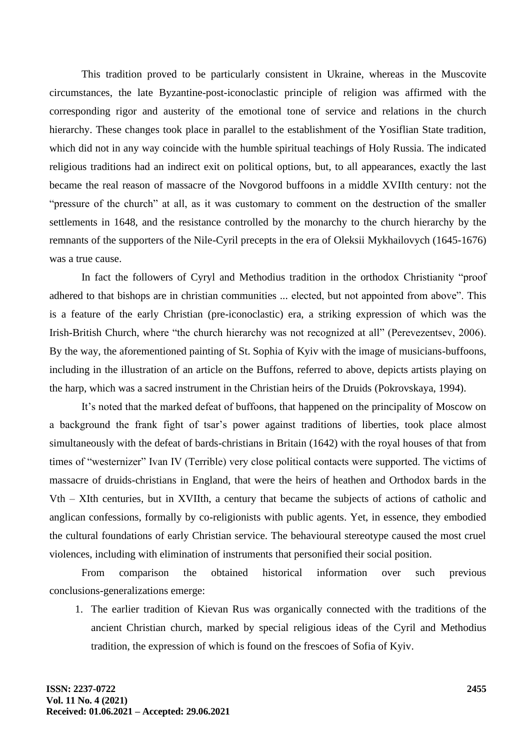This tradition proved to be particularly consistent in Ukraine, whereas in the Muscovite circumstances, the late Byzantine-post-iconoclastic principle of religion was affirmed with the corresponding rigor and austerity of the emotional tone of service and relations in the church hierarchy. These changes took place in parallel to the establishment of the Yosiflian State tradition, which did not in any way coincide with the humble spiritual teachings of Holy Russia. The indicated religious traditions had an indirect exit on political options, but, to all appearances, exactly the last became the real reason of massacre of the Novgorod buffoons in a middle XVIIth century: not the "pressure of the church" at all, as it was customary to comment on the destruction of the smaller settlements in 1648, and the resistance controlled by the monarchy to the church hierarchy by the remnants of the supporters of the Nile-Cyril precepts in the era of Oleksii Mykhailovych (1645-1676) was a true cause.

In fact the followers of Cyryl and Methodius tradition in the orthodox Christianity "proof adhered to that bishops are in christian communities ... elected, but not appointed from above". This is a feature of the early Christian (pre-iconoclastic) era, a striking expression of which was the Irish-British Church, where "the church hierarchy was not recognized at all" (Perevezentsev, 2006). By the way, the aforementioned painting of St. Sophia of Kyiv with the image of musicians-buffoons, including in the illustration of an article on the Buffons, referred to above, depicts artists playing on the harp, which was a sacred instrument in the Christian heirs of the Druids (Pokrovskaya, 1994).

It's noted that the marked defeat of buffoons, that happened on the principality of Moscow on a background the frank fight of tsar's power against traditions of liberties, took place almost simultaneously with the defeat of bards-christians in Britain (1642) with the royal houses of that from times of "westernizer" Ivan IV (Terrible) very close political contacts were supported. The victims of massacre of druids-christians in England, that were the heirs of heathen and Orthodox bards in the Vth – XIth centuries, but in XVIIth, a century that became the subjects of actions of catholic and anglican confessions, formally by co-religionists with public agents. Yet, in essence, they embodied the cultural foundations of early Christian service. The behavioural stereotype caused the most cruel violences, including with elimination of instruments that personified their social position.

From comparison the obtained historical information over such previous conclusions-generalizations emerge:

1. The earlier tradition of Kievan Rus was organically connected with the traditions of the ancient Christian church, marked by special religious ideas of the Cyril and Methodius tradition, the expression of which is found on the frescoes of Sofia of Kyiv.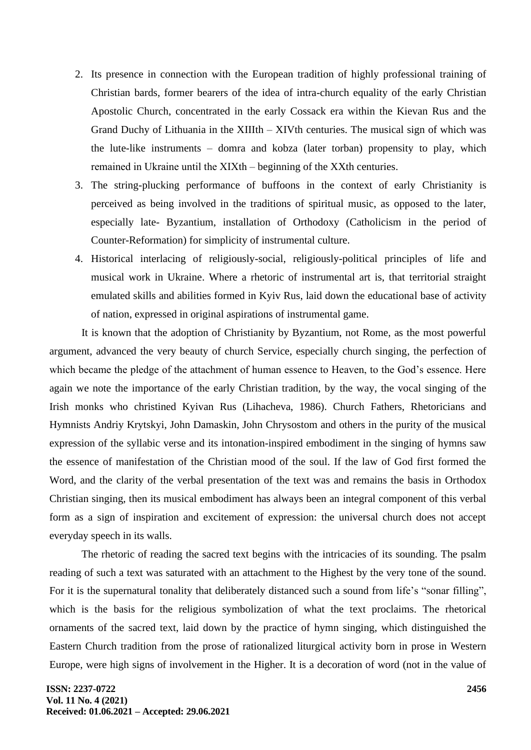- 2. Its presence in connection with the European tradition of highly professional training of Christian bards, former bearers of the idea of intra-church equality of the early Christian Apostolic Church, concentrated in the early Cossack era within the Kievan Rus and the Grand Duchy of Lithuania in the XIIIth – XIVth centuries. The musical sign of which was the lute-like instruments – domra and kobza (later torban) propensity to play, which remained in Ukraine until the ХІХth – beginning of the XXth centuries.
- 3. The string-plucking performance of buffoons in the context of early Christianity is perceived as being involved in the traditions of spiritual music, as opposed to the later, especially late- Byzantium, installation of Orthodoxy (Catholicism in the period of Counter-Reformation) for simplicity of instrumental culture.
- 4. Historical interlacing of religiously-social, religiously-political principles of life and musical work in Ukraine. Where a rhetoric of instrumental art is, that territorial straight emulated skills and abilities formed in Kyiv Rus, laid down the educational base of activity of nation, expressed in original aspirations of instrumental game.

It is known that the adoption of Christianity by Byzantium, not Rome, as the most powerful argument, advanced the very beauty of church Service, especially church singing, the perfection of which became the pledge of the attachment of human essence to Heaven, to the God's essence. Here again we note the importance of the early Christian tradition, by the way, the vocal singing of the Irish monks who christined Kyivan Rus (Lihacheva, 1986). Church Fathers, Rhetoricians and Hymnists Andriy Krytskyi, John Damaskin, John Chrysostom and others in the purity of the musical expression of the syllabic verse and its intonation-inspired embodiment in the singing of hymns saw the essence of manifestation of the Christian mood of the soul. If the law of God first formed the Word, and the clarity of the verbal presentation of the text was and remains the basis in Orthodox Christian singing, then its musical embodiment has always been an integral component of this verbal form as a sign of inspiration and excitement of expression: the universal church does not accept everyday speech in its walls.

The rhetoric of reading the sacred text begins with the intricacies of its sounding. The psalm reading of such a text was saturated with an attachment to the Highest by the very tone of the sound. For it is the supernatural tonality that deliberately distanced such a sound from life's "sonar filling", which is the basis for the religious symbolization of what the text proclaims. The rhetorical ornaments of the sacred text, laid down by the practice of hymn singing, which distinguished the Eastern Church tradition from the prose of rationalized liturgical activity born in prose in Western Europe, were high signs of involvement in the Higher. It is a decoration of word (not in the value of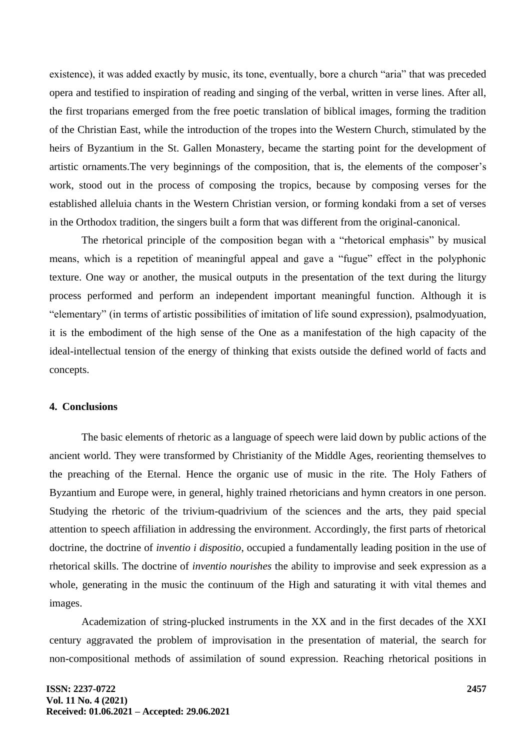existence), it was added exactly by music, its tone, eventually, bore a church "aria" that was preceded opera and testified to inspiration of reading and singing of the verbal, written in verse lines. After all, the first troparians emerged from the free poetic translation of biblical images, forming the tradition of the Christian East, while the introduction of the tropes into the Western Church, stimulated by the heirs of Byzantium in the St. Gallen Monastery, became the starting point for the development of artistic ornaments.The very beginnings of the composition, that is, the elements of the composer's work, stood out in the process of composing the tropics, because by composing verses for the established alleluia chants in the Western Christian version, or forming kondaki from a set of verses in the Orthodox tradition, the singers built a form that was different from the original-canonical.

The rhetorical principle of the composition began with a "rhetorical emphasis" by musical means, which is a repetition of meaningful appeal and gave a "fugue" effect in the polyphonic texture. One way or another, the musical outputs in the presentation of the text during the liturgy process performed and perform an independent important meaningful function. Although it is "elementary" (in terms of artistic possibilities of imitation of life sound expression), psalmodyuation, it is the embodiment of the high sense of the One as a manifestation of the high capacity of the ideal-intellectual tension of the energy of thinking that exists outside the defined world of facts and concepts.

### **4. Conclusions**

The basic elements of rhetoric as a language of speech were laid down by public actions of the ancient world. They were transformed by Christianity of the Middle Ages, reorienting themselves to the preaching of the Eternal. Hence the organic use of music in the rite. The Holy Fathers of Byzantium and Europe were, in general, highly trained rhetoricians and hymn creators in one person. Studying the rhetoric of the trivium-quadrivium of the sciences and the arts, they paid special attention to speech affiliation in addressing the environment. Accordingly, the first parts of rhetorical doctrine, the doctrine of *inventio i dispositio*, occupied a fundamentally leading position in the use of rhetorical skills. The doctrine of *inventio nourishes* the ability to improvise and seek expression as a whole, generating in the music the continuum of the High and saturating it with vital themes and images.

Academization of string-plucked instruments in the XX and in the first decades of the XXI century aggravated the problem of improvisation in the presentation of material, the search for non-compositional methods of assimilation of sound expression. Reaching rhetorical positions in